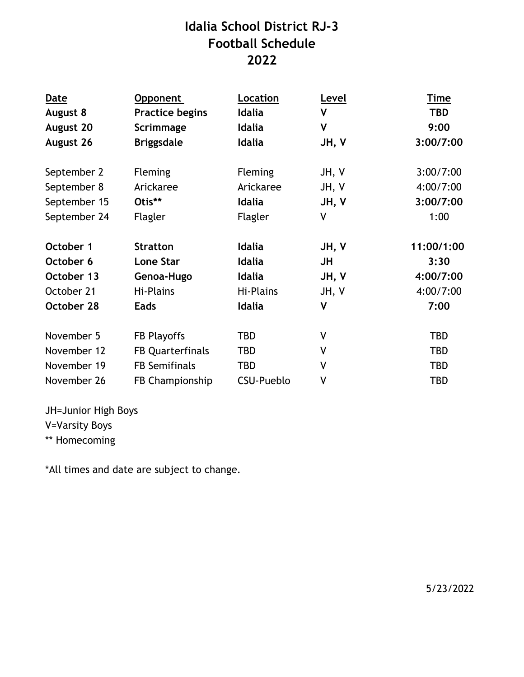## **Idalia School District RJ-3 Football Schedule 2022**

| <b>Date</b>      | Opponent                | Location       | Level        | <b>Time</b> |
|------------------|-------------------------|----------------|--------------|-------------|
| August 8         | <b>Practice begins</b>  | Idalia         | V            | <b>TBD</b>  |
| <b>August 20</b> | Scrimmage               | Idalia         | $\mathsf{V}$ | 9:00        |
| August 26        | <b>Briggsdale</b>       | <b>Idalia</b>  | JH, V        | 3:00/7:00   |
|                  |                         |                |              |             |
| September 2      | <b>Fleming</b>          | <b>Fleming</b> | JH, V        | 3:00/7:00   |
| September 8      | Arickaree               | Arickaree      | JH, V        | 4:00/7:00   |
| September 15     | Otis**                  | <b>Idalia</b>  | JH, V        | 3:00/7:00   |
| September 24     | Flagler                 | Flagler        | V            | 1:00        |
| October 1        | <b>Stratton</b>         | <b>Idalia</b>  | JH, V        | 11:00/1:00  |
| October 6        | <b>Lone Star</b>        | Idalia         | JH           | 3:30        |
| October 13       | Genoa-Hugo              | <b>Idalia</b>  | JH, V        | 4:00/7:00   |
| October 21       | Hi-Plains               | Hi-Plains      | JH, V        | 4:00/7:00   |
| October 28       | <b>Eads</b>             | <b>Idalia</b>  | $\mathsf{V}$ | 7:00        |
| November 5       | FB Playoffs             | TBD            | V            | <b>TBD</b>  |
| November 12      | <b>FB Quarterfinals</b> | TBD            | V            | <b>TBD</b>  |
| November 19      | <b>FB Semifinals</b>    | TBD            | V            | <b>TBD</b>  |
| November 26      | FB Championship         | CSU-Pueblo     | ٧            | <b>TBD</b>  |

JH=Junior High Boys V=Varsity Boys \*\* Homecoming

\*All times and date are subject to change.

5/23/2022